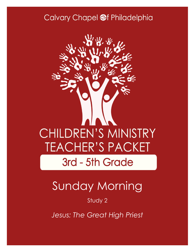### Calvary Chapel @f Philadelphia



# Sunday Morning

#### Study 2

*Jesus: The Great High Priest*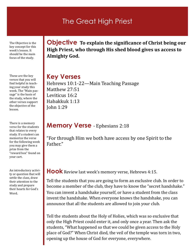### The Great High Priest

The Objective is the key concept for this week's lesson. It should be the main focus of the study.

These are the key verses that you will find helpful in teaching your study this week. The "Main passage" is the basis of the study, where the other verses support the objective of the lesson.

There is a memory verse for the students that relates to every study. If a student can memorize the verse for the following week you may give them a prize from the "reward box" found on your cart.

An introductory activity or question that will settle the class, draw their attention to the study and prepare their hearts for God's Word.

**Objective To explain the significance of Christ being our High Priest, who through His shed blood gives us access to Almighty God.**

#### **Key Verses**

Hebrews 10:1-22—Main Teaching Passage Matthew 27:51 Leviticus 16:2 Habakkuk 1:13 John 1:29

#### **Memory Verse** - Ephesians 2:18

"For through Him we both have access by one Spirit to the Father."

**Hook** Review last week's memory verse, Hebrews 4:15.

Tell the students that you are going to form an exclusive club. In order to become a member of the club, they have to know the "secret handshake." You can invent a handshake yourself, or have a student from the class invent the handshake. When everyone knows the handshake, you can announce that all the students are allowed to join your club.

Tell the students about the Holy of Holies, which was so exclusive that only the High Priest could enter it, and only once a year. Then ask the students, "What happened so that we could be given access to the Holy place of God?" When Christ died, the veil of the temple was torn in two, opening up the house of God for everyone, everywhere.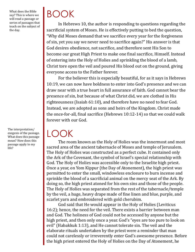What does the Bible say? This is where we will read a passage or series of passages that teach on the subject of the day.

The interpretation/ exegesis of the passage. What does this passage mean? How does this passage apply to my life?

# BOOK

In Hebrews 10, the author is responding to questions regarding the sacrificial system of Moses. He is effectively putting to bed the question, "Why did Moses demand that we sacrifice every year for the forgiveness of sin, yet you say we never need to sacrifice again?" His answer is that God desires obedience, not sacrifice, and therefore sent His Son to become our great High Priest to make one final sacrifice, Himself. Instead of entering into the Holy of Holies and sprinkling the blood of a lamb, Christ tore open the veil and poured His blood out on the ground, giving everyone access to the Father forever.

For the believer this is especially beautiful, for as it says in Hebrews 10:19, we can now have boldness to enter into God's presence and we can draw near with a true heart in full assurance of faith. God cannot bear the presence of sin, but because of what Christ did, we are clothed in His righteousness (Isaiah 61:10), and therefore have no need to fear God. Instead, we are adopted as sons and heirs of the Kingdom. Christ made the once-for-all, final sacrifice (Hebrews 10:12-14) so that we could walk forever with our God.

LOOK

The room known as the Holy of Holies was the innermost and most sacred area of the ancient tabernacle of Moses and temple of Jerusalem. The Holy of Holies was constructed as a perfect cube. It contained only the Ark of the Covenant, the symbol of Israel's special relationship with God. The Holy of Holies was accessible only to the Israelite high priest. Once a year, on Yom Kippur (the Day of Atonement), the high priest was permitted to enter the small, windowless enclosure to burn incense and sprinkle the blood of a sacrificial animal on the mercy seat of the Ark. By doing so, the high priest atoned for his own sins and those of the people. The Holy of Holies was separated from the rest of the tabernacle/temple by the veil, a huge, heavy drape made of fine linen and blue, purple, and scarlet yarn and embroidered with gold cherubim.

God said that He would appear in the Holy of Holies (Leviticus 16:2); hence, the need for the veil. There exists a barrier between man and God. The holiness of God could not be accessed by anyone but the high priest, and then only once a year. God's "eyes are too pure to look on evil" (Habakkuk 1:13), and He cannot tolerate sin. The veil and the elaborate rituals undertaken by the priest were a reminder that man could not carelessly or irreverently enter God's awesome presence. Before the high priest entered the Holy of Holies on the Day of Atonement, he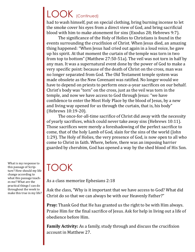## LOOK (Continued)

had to wash himself, put on special clothing, bring burning incense to let the smoke cover his eyes from a direct view of God, and bring sacrificial blood with him to make atonement for sins (Exodus 28; Hebrews 9:7).

The significance of the Holy of Holies to Christians is found in the events surrounding the crucifixion of Christ. When Jesus died, an amazing thing happened: "When Jesus had cried out again in a loud voice, he gave up his spirit. At that moment the curtain of the temple was torn in two from top to bottom" (Matthew 27:50-51a). The veil was not torn in half by any man. It was a supernatural event done by the power of God to make a very specific point: because of the death of Christ on the cross, man was no longer separated from God. The Old Testament temple system was made obsolete as the New Covenant was ratified. No longer would we have to depend on priests to perform once-a-year sacrifices on our behalf. Christ's body was "torn" on the cross, just as the veil was torn in the temple, and now we have access to God through Jesus: "we have confidence to enter the Most Holy Place by the blood of Jesus, by a new and living way opened for us through the curtain, that is, his body" (Hebrews 10:19-20).

The once-for-all-time sacrifice of Christ did away with the necessity of yearly sacrifices, which could never take away sins (Hebrews 10:11). Those sacrifices were merely a foreshadowing of the perfect sacrifice to come, that of the holy Lamb of God, slain for the sins of the world (John 1:29). The Holy of Holies, the very presence of God, is now open to all who come to Christ in faith. Where, before, there was an imposing barrier guarded by cherubim, God has opened a way by the shed blood of His Son.

### TOOK

As a class memorize Ephesians 2:18

Ask the class, "Why is it important that we have access to God? What did Christ do so that we can always be with our Heavenly Father?"

**Pray:** Thank God that He has granted us the right to be with Him always. Praise Him for the final sacrifice of Jesus. Ask for help in living out a life of obedience before Him.

**Family Activity:** As a family, study through and discuss the crucifixion account in Matthew 27.

What is my response to this passage of Scripture? How should my life change according to what this passage teaches me? What are the practical things I can do throughout the week to make this true in my life?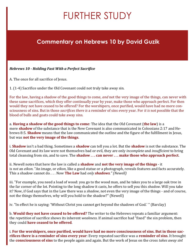## FURTHER STUDY

#### **Commentary on Hebrews 10 by David Guzik**

#### *Hebrews 10 - Holding Fast With a Perfect Sacrifice*

A. The once for all sacrifice of Jesus.

1. (1-4) Sacrifice under the Old Covenant could not truly take away sin.

For the law, having a shadow of the good things to come, *and* not the very image of the things, can never with these same sacrifices, which they offer continually year by year, make those who approach perfect. For then would they not have ceased to be offered? For the worshipers, once purified, would have had no more consciousness of sins. But in those *sacrifices there is* a reminder of sins every year. For *it is* not possible that the blood of bulls and goats could take away sins.

a. **Having a shadow of the good things to come**: The idea that the Old Covenant (**the law**) is a mere **shadow** of the substance that is the New Covenant is also communicated in Colossians 2:17 and Hebrews 8:5. **Shadow** means that the law communicated the outline and the figure of the fulfillment in Jesus, but was **not the very image of the things**.

i. **Shadow** isn't a bad thing. Sometimes a **shadow** can tell you a lot. But the **shadow** is not the substance. The Old Covenant and its law were not themselves bad or evil, they are only *incomplete* and *insufficient* to bring total cleansing from sin, and to save. The **shadow . . . can never . . . make those who approach perfect**.

ii. Newell notes that here the law is called a **shadow** and **not the very image of the things** - it is *not* an *eikon*. "An image, or *eikon*, like a good statue or a photograph, reveals features and facts accurately. This a shadow cannot do. . . . Now **The Law** had *only shadows." (Newell)*

iii. "For example, you need a load of wood: you go to the wood man, and he takes you to a large oak tree in the far corner of the lot. Pointing to the long shadow it casts, he offers to sell you this *shadow*. Will you take it? Now, if God says that in the Law there was a *shadow*, not even the very image of the things - and of course, not the things themselves, why will you hold to the shadow?" (Newell)

iv. "In effect he is saying: 'Without Christ you cannot get beyond the shadows of God.' " (Barclay)

b. **Would they not have ceased to be offered?** The writer to the Hebrews repeats a familiar argument: the *repetition* of sacrifice shows its inherent *weakness*. If animal sacrifice had "fixed" the sin problem, then they could **have ceased to be offered**.

i. **For the worshipers, once purified, would have had no more consciousness of sins. But in those sacrifices there is a reminder of sins every year**: Every repeated sacrifice was a **reminder of sins**. It brought the **consciousness of sins** to the people again and again. But the work of Jesus on the cross *takes away sin*!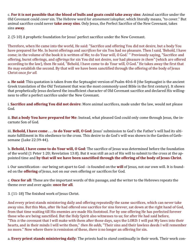c. **For it is not possible that the blood of bulls and goats could take away sins**: Animal sacrifice under the Old Covenant could *cover* sin. The Hebrew word for *atonement* is*kophar*, which literally means, "to cover." But animal sacrifice could never **take away sins**. Only Jesus, the Perfect Sacrifice of the New Covenant, takes sins **away**.

2. (5-10) A prophetic foundation for Jesus' perfect sacrifice under the New Covenant.

Therefore, when He came into the world, He said: "Sacrifice and offering You did not desire, but a body You have prepared for Me. In burnt offerings and *sacrifices* for sin You had no pleasure. Then I said, 'Behold, I have come; in the volume of the book it is written of Me; to do Your will, O God.' " Previously saying, "Sacrifice and offering, burnt offerings, and *offerings* for sin You did not desire, nor had pleasure *in them"* (which are offered according to the law), then He said, "Behold, I have come to do Your will, O God." He takes away the first that He may establish the second. By that will we have been sanctified through the offering of the body of Jesus Christ once *for all.*

a. **He said**: This quotation is taken from the Septuagint version of Psalm 40:6-8 (the Septuagint is the ancient Greek translation of the Old Testament that was the most commonly used Bible in the first century). It shows that prophetically Jesus declared the insufficient character of Old Covenant sacrifice and declared His willingness to offer a perfect sacrifice under the New Covenant.

i. **Sacrifice and offering You did not desire**: More animal sacrifices, made under the law, would not please God.

ii. **But a body You have prepared for Me**: Instead, what pleased God could only come through Jesus, the incarnate Son of God.

iii. **Behold, I have come . . . to do Your will, O God**: Jesus' submission to God's the Father's will had its ultimate fulfillment in His obedience to the cross. This desire to do God's will was shown in the Garden of Gethsemane (Luke 22:39-44).

b. **Behold, I have come to do Your will, O God**: The sacrifice of Jesus was determined before the foundation of the world (1 Peter 1:20; Revelation 13:8). But it was still an act of His will to submit to the cross at the appointed time and **by that will we have been sanctified through the offering of the body of Jesus Christ**.

i. Our sanctification - our being set apart to God - is founded on the **will** of Jesus, not our own will. It is founded on the **offering** of Jesus, not on our own offering or sacrifices for God.

c. **Once for all**: These are the important words of this passage, and the writer to the Hebrews repeats the theme over and over again: **once for all**.

3. (11-18) The finished work of Jesus Christ.

And every priest stands ministering daily and offering repeatedly the same sacrifices, which can never take away sins. But this Man, after He had offered one sacrifice for sins forever, sat down at the right hand of God, from that time waiting till His enemies are made His footstool. For by one offering He has perfected forever those who are being sanctified. But the Holy Spirit also witnesses to us; for after He had said before, "This *is* the covenant that I will make with them after those days, says the LORD: I will put My laws into their hearts, and in their minds I will write them," *then He adds,* "Their sins and their lawless deeds I will remember no more." Now where there is remission of these, *there is* no longer an offering for sin.

a. **Every priest stands ministering daily**: The priests had to *stand* continually in their work. Their work con-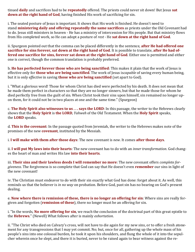tinued **daily** and sacrifices had to be **repeatedly** offered. The priests could never sit down! But Jesus **sat down at the right hand of God**, having finished His work of sacrificing for sin.

i. The seated posture of Jesus is important. It shows that His work is finished. He doesn't need to stand **ministering daily and offering repeatedly the same sacrifices** as priests under the Old Covenant had to do. Jesus still ministers in heaven - He has a ministry of intercession for His people. But that ministry flows from His completed work, so He can adopt a posture of *rest* - He **sat down at the right hand of God**.

ii. Spurgeon pointed out that the comma can be placed differently in the sentence, **after He had offered one sacrifice for sins forever, sat down at the right hand of God**. It is possible to translate, **after He had offered one sacrifice for sins, forever sat down at the right hand of God**. Either one is permitted and either one is correct, though the common translation is probably preferred.

b. **He has perfected forever those who are being sanctified**: This makes it plain that the work of Jesus is effective only for **those who are being sanctified**. The work of Jesus is*capable* of saving every human being, but it is only *effective* in saving **those who are being sanctified** (set apart to God).

i. "What a glorious word! Those for whom Christ has died were perfected by his death. It does not mean that he made them perfect in characters so that they are no longer sinners, but that he made those for whom he died perfectly free from the guilt of sin. When Christ took their sins upon himself, sin remained no longer upon them, for it could not be in two places at one and the same time." (Spurgeon)

c. **The Holy Spirit also witnesses to us . . . says the LORD**: In this passage, the writer to the Hebrews clearly shows that the **Holy Spirit** is **the LORD**, *Yahweh* of the Old Testament. When the **Holy Spirit** speaks, the **LORD** speaks.

d. **This is the covenant**: In the passage quoted from Jeremiah, the writer to the Hebrews makes note of the promises of the new **covenant**, instituted by the Messiah.

i. **I will make with them after those days**: The new covenant is *new*. It comes **after those days**.

ii. **I will put My laws into their hearts**: The new covenant has to do with an *inner transformation*. God changes the heart of man and writes His law **into their hearts**.

iii. **Their sins and their lawless deeds I will remember no more**: The new covenant offers *complete forgiveness*. The forgiveness is so complete that God can say that He doesn't even **remember** our sins in light of the new covenant!

iv. The Christian must endeavor to do with their sin exactly what God has done: forget about it. As well, this reminds us that the believer is *in no way* on probation. Before God, past sin has no bearing on God's present dealing.

e. **Now where there is remission of these, there is no longer an offering for sin**: Where sins are really forgiven and forgotten (**remission of these**), there no longer must be an offering for sin.

i. "In the words, **No more offering for sin**, we reach the conclusion of the doctrinal part of this great epistle to the **Hebrews**." (Newell) What follows after is mainly *exhortation*.

ii. "The Christ who died on Calvary's cross, will not have to die again for my new sins, or to offer a fresh atonement for any transgressions that I may yet commit. No; but, once for all, gathering up the whole mass of his people's sins into one colossal burden, he took it upon his shoulders, and flung the whole of it into the sepulcher wherein once he slept, and there it is buried, never to be raised again to bear witness against the re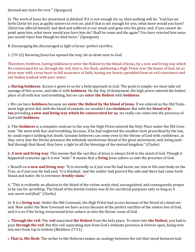deemed any more for ever." (Spurgeon)

iii. The work of Jesus for atonement is *finished*. If it is not enough for us, then nothing will be. "God has set forth Christ for you as guilty sinners to rest on; and if that is not enough for you, what more would you have? Christ has offered himself, and died and suffered in our stead, and gone into his glory; and, if you cannot depend upon him, what more would you have him do? Shall he come and die again? You have rejected him once; you would reject him though he died twice." (Spurgeon)

B. Encouraging the discouraged in light of Jesus' perfect sacrifice.

1. (19-22) Knowing Jesus has opened the way, let us draw near to God.

Therefore, brethren, having boldness to enter the Holiest by the blood of Jesus, by a new and living way which He consecrated for us, through the veil, that is, His flesh, and*having* a High Priest over the house of God, let us draw near with a true heart in full assurance of faith, having our hearts sprinkled from an evil conscience and our bodies washed with pure water.

a. **Having boldness**: Access is given to us for a bold approach to God. The point is simple: we must take advantage of this access, and take it with **boldness**. On the Day of Atonement, the high priest entered the holiest place of all with fear and trembling, but we can **enter the Holiest** with **boldness**.

i. We can have **boldness** because we **enter the Holiest by the blood of Jesus**. If we entered as the Old Testament high priest did, with the blood of animals, we wouldn't have**boldness**. But with the **blood of Jesus** providing **a new and living way which He consecrated for us**, we really can come into the presence of God with **boldness**.

ii. This **boldness** is a complete contrast to the way the High Priest entered the Holy Place under the Old Covenant. "He went with fear and trembling, because, if he had neglected the smallest item prescribed by the law, he could expect nothing but death. Genuine believers can come even to the throne of God with confidence, as they carry into the Divine presence the infinitely meritorious blood of the great atonement; and, being justified through that blood, they have a right to all the blessings of the eternal kingdom." (Clarke)

b. **A new and living way**: This means that the sacrifice of Jesus is *always fresh* in the mind of God. Though it happened centuries ago it is not "stale." It means that a **living** Jesus ushers us into the presence of God.

i. Newell on **a new and living way**: "It is eternally as if *just now* He had borne our sins in His own body on the Tree, as if *just now* He had said, 'It is finished,' and the soldier had pierced His side and there had come forth blood and water. He is evermore **freshly-slain**."

ii. "This is evidently an allusion to the blood of the victim *newly shed*, *uncoagulated*, and consequently proper to be use for *sprinkling*. The blood of the Jewish victims was fit for sacrificial purposes only so long as it was *warm and fluid*." (Clarke)

iii. It is a **living way**. Under the Old Covenant, the High Priest had access because of the blood of a dead animal. Now under the New Covenant we have access because of the perfect sacrifice of the sinless Son of God, and it is as if the living, resurrected Jesus ushers us into the throne room of God.

c. **Through the veil**: The **veil** separated **the Holiest** from the holy place. To enter into **the Holiest**, you had to pass **through the veil**. But this veil separating man from God's intimate presence is forever open, being torn into two from top to bottom (Matthew 27:51).

i. **That is, His flesh**: The writer to the Hebrews makes an analogy between the veil that stood between God